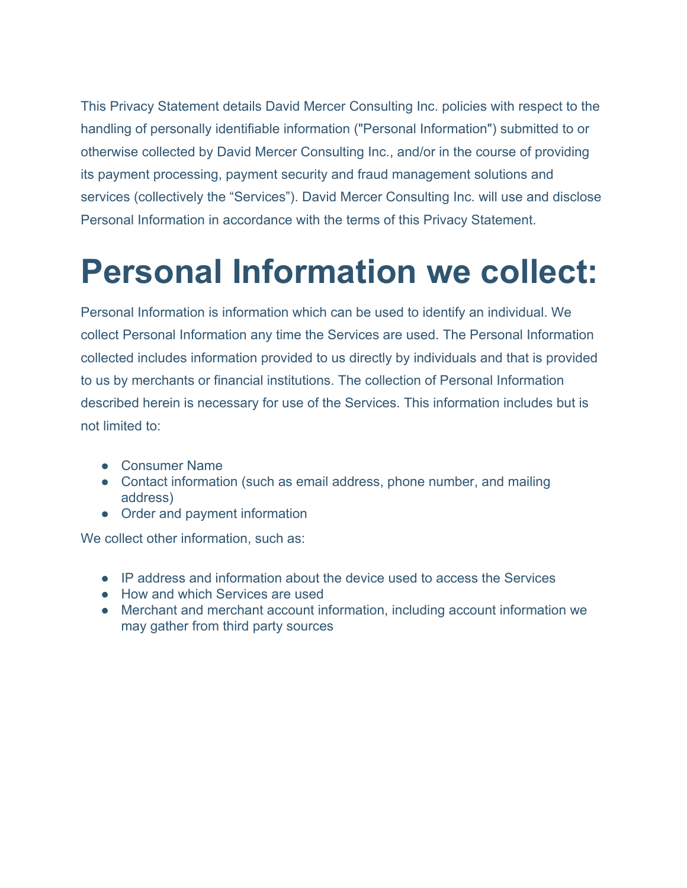This Privacy Statement details David Mercer Consulting Inc. policies with respect to the handling of personally identifiable information ("Personal Information") submitted to or otherwise collected by David Mercer Consulting Inc., and/or in the course of providing its payment processing, payment security and fraud management solutions and services (collectively the "Services"). David Mercer Consulting Inc. will use and disclose Personal Information in accordance with the terms of this Privacy Statement.

#### **Personal Information we collect:**

Personal Information is information which can be used to identify an individual. We collect Personal Information any time the Services are used. The Personal Information collected includes information provided to us directly by individuals and that is provided to us by merchants or financial institutions. The collection of Personal Information described herein is necessary for use of the Services. This information includes but is not limited to:

- Consumer Name
- Contact information (such as email address, phone number, and mailing address)
- Order and payment information

We collect other information, such as:

- IP address and information about the device used to access the Services
- How and which Services are used
- Merchant and merchant account information, including account information we may gather from third party sources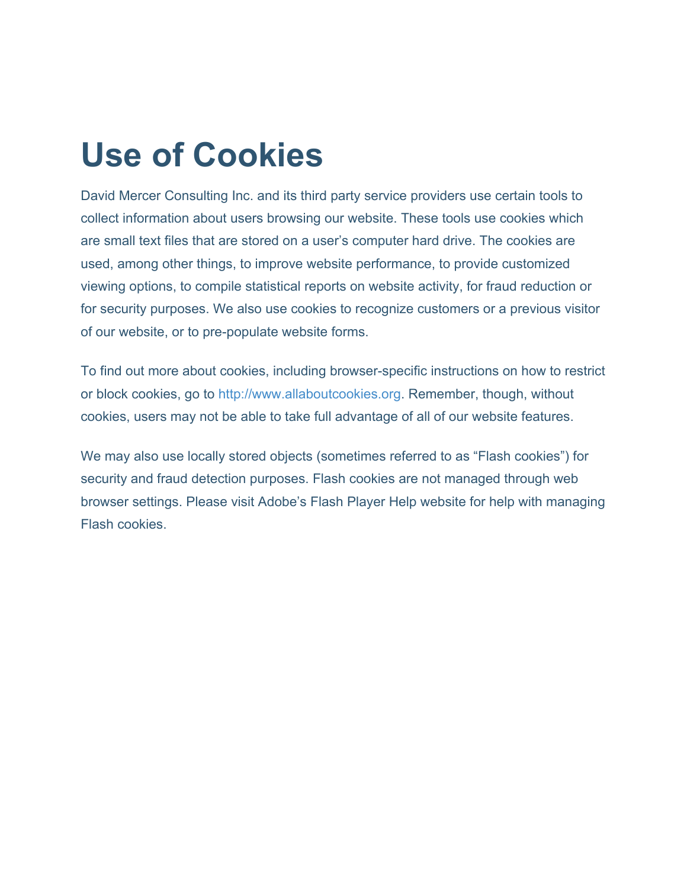#### **Use of Cookies**

David Mercer Consulting Inc. and its third party service providers use certain tools to collect information about users browsing our website. These tools use cookies which are small text files that are stored on a user's computer hard drive. The cookies are used, among other things, to improve website performance, to provide customized viewing options, to compile statistical reports on website activity, for fraud reduction or for security purposes. We also use cookies to recognize customers or a previous visitor of our website, or to pre-populate website forms.

To find out more about cookies, including browser-specific instructions on how to restrict or block cookies, go to [http://www.allaboutcookies.org.](http://www.allaboutcookies.org/) Remember, though, without cookies, users may not be able to take full advantage of all of our website features.

We may also use locally stored objects (sometimes referred to as "Flash cookies") for security and fraud detection purposes. Flash cookies are not managed through web browser settings. Please visit Adobe's Flash Player Help website for help with managing Flash cookies.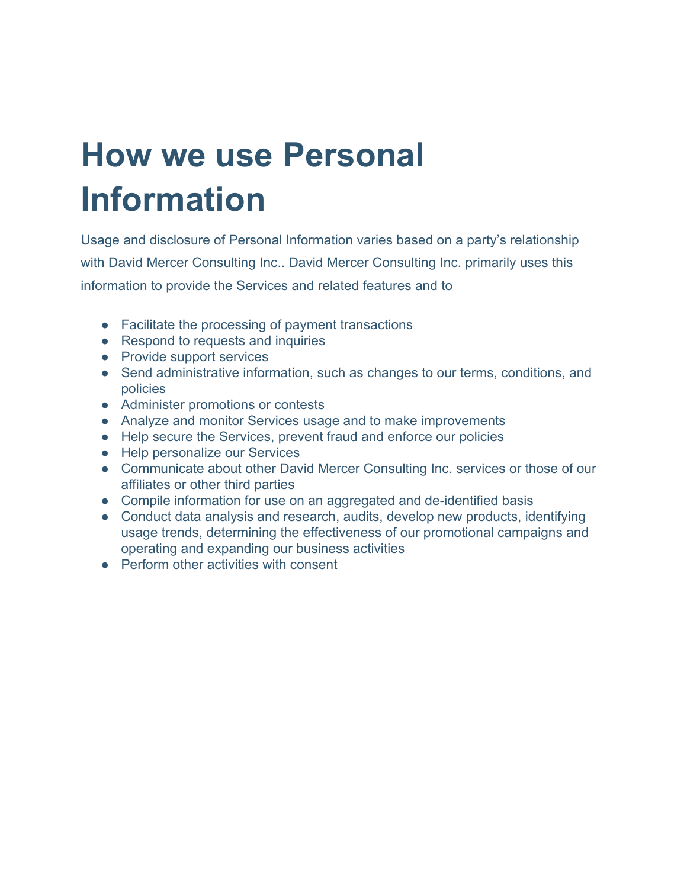## **How we use Personal Information**

Usage and disclosure of Personal Information varies based on a party's relationship with David Mercer Consulting Inc.. David Mercer Consulting Inc. primarily uses this information to provide the Services and related features and to

- Facilitate the processing of payment transactions
- Respond to requests and inquiries
- Provide support services
- Send administrative information, such as changes to our terms, conditions, and policies
- Administer promotions or contests
- Analyze and monitor Services usage and to make improvements
- Help secure the Services, prevent fraud and enforce our policies
- Help personalize our Services
- Communicate about other David Mercer Consulting Inc. services or those of our affiliates or other third parties
- Compile information for use on an aggregated and de-identified basis
- Conduct data analysis and research, audits, develop new products, identifying usage trends, determining the effectiveness of our promotional campaigns and operating and expanding our business activities
- Perform other activities with consent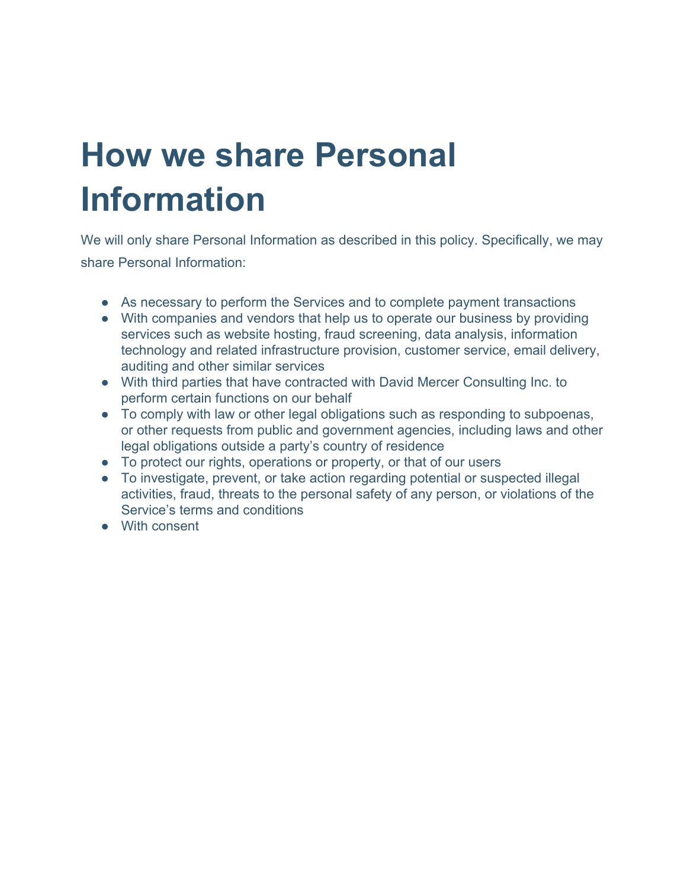## **How we share Personal Information**

We will only share Personal Information as described in this policy. Specifically, we may share Personal Information:

- As necessary to perform the Services and to complete payment transactions
- With companies and vendors that help us to operate our business by providing services such as website hosting, fraud screening, data analysis, information technology and related infrastructure provision, customer service, email delivery, auditing and other similar services
- With third parties that have contracted with David Mercer Consulting Inc. to perform certain functions on our behalf
- To comply with law or other legal obligations such as responding to subpoenas, or other requests from public and government agencies, including laws and other legal obligations outside a party's country of residence
- To protect our rights, operations or property, or that of our users
- To investigate, prevent, or take action regarding potential or suspected illegal activities, fraud, threats to the personal safety of any person, or violations of the Service's terms and conditions
- With consent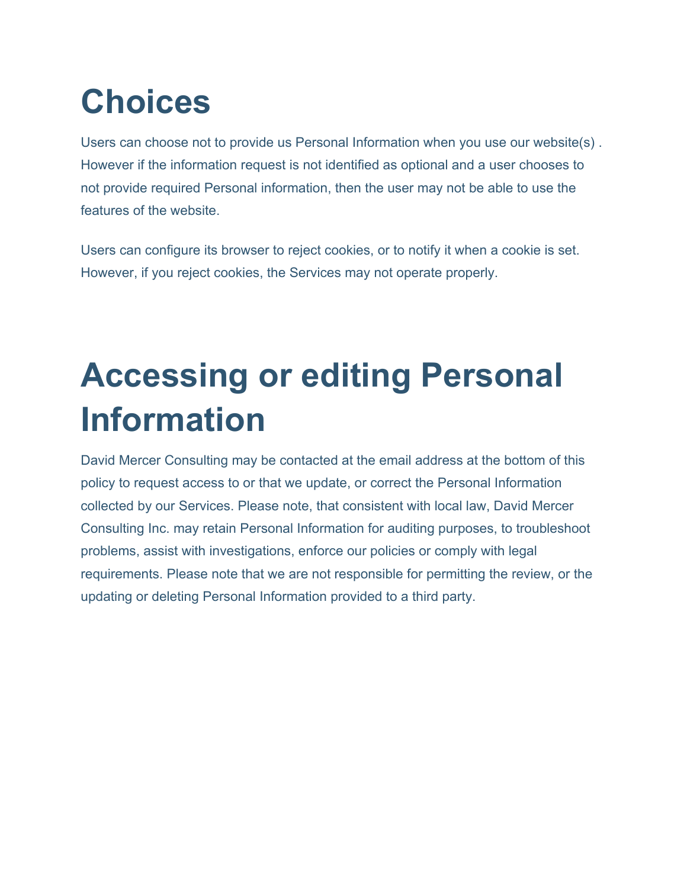## **Choices**

Users can choose not to provide us Personal Information when you use our website(s) . However if the information request is not identified as optional and a user chooses to not provide required Personal information, then the user may not be able to use the features of the website.

Users can configure its browser to reject cookies, or to notify it when a cookie is set. However, if you reject cookies, the Services may not operate properly.

#### **Accessing or editing Personal Information**

David Mercer Consulting may be contacted at the email address at the bottom of this policy to request access to or that we update, or correct the Personal Information collected by our Services. Please note, that consistent with local law, David Mercer Consulting Inc. may retain Personal Information for auditing purposes, to troubleshoot problems, assist with investigations, enforce our policies or comply with legal requirements. Please note that we are not responsible for permitting the review, or the updating or deleting Personal Information provided to a third party.